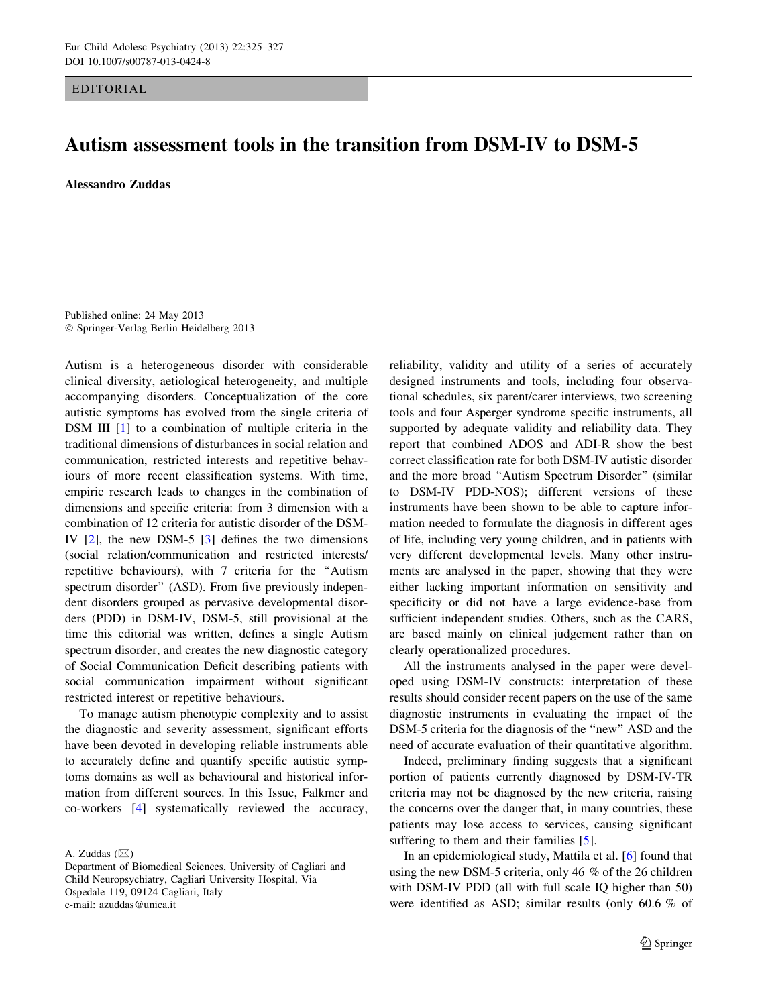EDITORIAL

## Autism assessment tools in the transition from DSM-IV to DSM-5

Alessandro Zuddas

Published online: 24 May 2013 - Springer-Verlag Berlin Heidelberg 2013

Autism is a heterogeneous disorder with considerable clinical diversity, aetiological heterogeneity, and multiple accompanying disorders. Conceptualization of the core autistic symptoms has evolved from the single criteria of DSM III [\[1](#page-2-0)] to a combination of multiple criteria in the traditional dimensions of disturbances in social relation and communication, restricted interests and repetitive behaviours of more recent classification systems. With time, empiric research leads to changes in the combination of dimensions and specific criteria: from 3 dimension with a combination of 12 criteria for autistic disorder of the DSM-IV [[2](#page-2-0)], the new DSM-5 [\[3](#page-2-0)] defines the two dimensions (social relation/communication and restricted interests/ repetitive behaviours), with 7 criteria for the ''Autism spectrum disorder" (ASD). From five previously independent disorders grouped as pervasive developmental disorders (PDD) in DSM-IV, DSM-5, still provisional at the time this editorial was written, defines a single Autism spectrum disorder, and creates the new diagnostic category of Social Communication Deficit describing patients with social communication impairment without significant restricted interest or repetitive behaviours.

To manage autism phenotypic complexity and to assist the diagnostic and severity assessment, significant efforts have been devoted in developing reliable instruments able to accurately define and quantify specific autistic symptoms domains as well as behavioural and historical information from different sources. In this Issue, Falkmer and co-workers [[4\]](#page-2-0) systematically reviewed the accuracy,

A. Zuddas  $(\boxtimes)$ 

reliability, validity and utility of a series of accurately designed instruments and tools, including four observational schedules, six parent/carer interviews, two screening tools and four Asperger syndrome specific instruments, all supported by adequate validity and reliability data. They report that combined ADOS and ADI-R show the best correct classification rate for both DSM-IV autistic disorder and the more broad ''Autism Spectrum Disorder'' (similar to DSM-IV PDD-NOS); different versions of these instruments have been shown to be able to capture information needed to formulate the diagnosis in different ages of life, including very young children, and in patients with very different developmental levels. Many other instruments are analysed in the paper, showing that they were either lacking important information on sensitivity and specificity or did not have a large evidence-base from sufficient independent studies. Others, such as the CARS, are based mainly on clinical judgement rather than on clearly operationalized procedures.

All the instruments analysed in the paper were developed using DSM-IV constructs: interpretation of these results should consider recent papers on the use of the same diagnostic instruments in evaluating the impact of the DSM-5 criteria for the diagnosis of the ''new'' ASD and the need of accurate evaluation of their quantitative algorithm.

Indeed, preliminary finding suggests that a significant portion of patients currently diagnosed by DSM-IV-TR criteria may not be diagnosed by the new criteria, raising the concerns over the danger that, in many countries, these patients may lose access to services, causing significant suffering to them and their families [[5\]](#page-2-0).

In an epidemiological study, Mattila et al. [\[6](#page-2-0)] found that using the new DSM-5 criteria, only 46 % of the 26 children with DSM-IV PDD (all with full scale IQ higher than 50) were identified as ASD; similar results (only 60.6 % of

Department of Biomedical Sciences, University of Cagliari and Child Neuropsychiatry, Cagliari University Hospital, Via Ospedale 119, 09124 Cagliari, Italy e-mail: azuddas@unica.it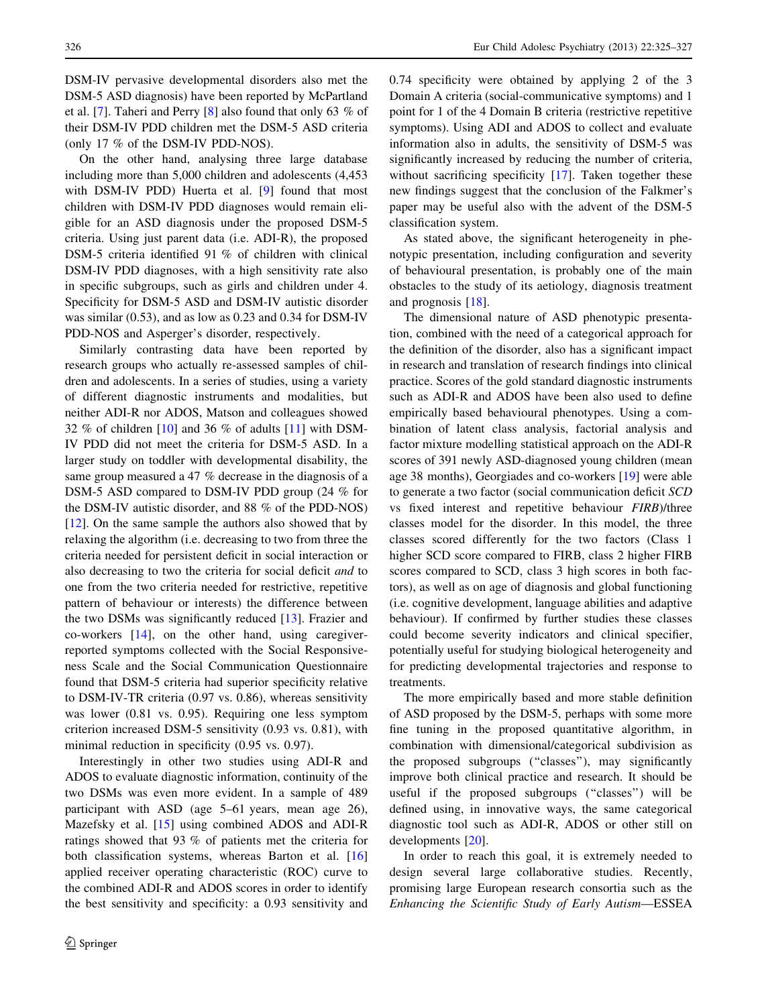DSM-IV pervasive developmental disorders also met the DSM-5 ASD diagnosis) have been reported by McPartland et al. [[7\]](#page-2-0). Taheri and Perry [\[8](#page-2-0)] also found that only 63 % of their DSM-IV PDD children met the DSM-5 ASD criteria (only 17 % of the DSM-IV PDD-NOS).

On the other hand, analysing three large database including more than 5,000 children and adolescents (4,453 with DSM-IV PDD) Huerta et al. [[9\]](#page-2-0) found that most children with DSM-IV PDD diagnoses would remain eligible for an ASD diagnosis under the proposed DSM-5 criteria. Using just parent data (i.e. ADI-R), the proposed DSM-5 criteria identified 91 % of children with clinical DSM-IV PDD diagnoses, with a high sensitivity rate also in specific subgroups, such as girls and children under 4. Specificity for DSM-5 ASD and DSM-IV autistic disorder was similar (0.53), and as low as 0.23 and 0.34 for DSM-IV PDD-NOS and Asperger's disorder, respectively.

Similarly contrasting data have been reported by research groups who actually re-assessed samples of children and adolescents. In a series of studies, using a variety of different diagnostic instruments and modalities, but neither ADI-R nor ADOS, Matson and colleagues showed 32 % of children  $[10]$  $[10]$  and 36 % of adults  $[11]$  $[11]$  with DSM-IV PDD did not meet the criteria for DSM-5 ASD. In a larger study on toddler with developmental disability, the same group measured a 47 % decrease in the diagnosis of a DSM-5 ASD compared to DSM-IV PDD group (24 % for the DSM-IV autistic disorder, and 88 % of the PDD-NOS) [\[12](#page-2-0)]. On the same sample the authors also showed that by relaxing the algorithm (i.e. decreasing to two from three the criteria needed for persistent deficit in social interaction or also decreasing to two the criteria for social deficit and to one from the two criteria needed for restrictive, repetitive pattern of behaviour or interests) the difference between the two DSMs was significantly reduced [[13\]](#page-2-0). Frazier and co-workers [[14\]](#page-2-0), on the other hand, using caregiverreported symptoms collected with the Social Responsiveness Scale and the Social Communication Questionnaire found that DSM-5 criteria had superior specificity relative to DSM-IV-TR criteria (0.97 vs. 0.86), whereas sensitivity was lower (0.81 vs. 0.95). Requiring one less symptom criterion increased DSM-5 sensitivity (0.93 vs. 0.81), with minimal reduction in specificity (0.95 vs. 0.97).

Interestingly in other two studies using ADI-R and ADOS to evaluate diagnostic information, continuity of the two DSMs was even more evident. In a sample of 489 participant with ASD (age 5–61 years, mean age 26), Mazefsky et al. [[15\]](#page-2-0) using combined ADOS and ADI-R ratings showed that 93 % of patients met the criteria for both classification systems, whereas Barton et al. [[16\]](#page-2-0) applied receiver operating characteristic (ROC) curve to the combined ADI-R and ADOS scores in order to identify the best sensitivity and specificity: a 0.93 sensitivity and 0.74 specificity were obtained by applying 2 of the 3 Domain A criteria (social-communicative symptoms) and 1 point for 1 of the 4 Domain B criteria (restrictive repetitive symptoms). Using ADI and ADOS to collect and evaluate information also in adults, the sensitivity of DSM-5 was significantly increased by reducing the number of criteria, without sacrificing specificity [\[17](#page-2-0)]. Taken together these new findings suggest that the conclusion of the Falkmer's paper may be useful also with the advent of the DSM-5 classification system.

As stated above, the significant heterogeneity in phenotypic presentation, including configuration and severity of behavioural presentation, is probably one of the main obstacles to the study of its aetiology, diagnosis treatment and prognosis [\[18](#page-2-0)].

The dimensional nature of ASD phenotypic presentation, combined with the need of a categorical approach for the definition of the disorder, also has a significant impact in research and translation of research findings into clinical practice. Scores of the gold standard diagnostic instruments such as ADI-R and ADOS have been also used to define empirically based behavioural phenotypes. Using a combination of latent class analysis, factorial analysis and factor mixture modelling statistical approach on the ADI-R scores of 391 newly ASD-diagnosed young children (mean age 38 months), Georgiades and co-workers [[19\]](#page-2-0) were able to generate a two factor (social communication deficit SCD vs fixed interest and repetitive behaviour FIRB)/three classes model for the disorder. In this model, the three classes scored differently for the two factors (Class 1 higher SCD score compared to FIRB, class 2 higher FIRB scores compared to SCD, class 3 high scores in both factors), as well as on age of diagnosis and global functioning (i.e. cognitive development, language abilities and adaptive behaviour). If confirmed by further studies these classes could become severity indicators and clinical specifier, potentially useful for studying biological heterogeneity and for predicting developmental trajectories and response to treatments.

The more empirically based and more stable definition of ASD proposed by the DSM-5, perhaps with some more fine tuning in the proposed quantitative algorithm, in combination with dimensional/categorical subdivision as the proposed subgroups (''classes''), may significantly improve both clinical practice and research. It should be useful if the proposed subgroups (''classes'') will be defined using, in innovative ways, the same categorical diagnostic tool such as ADI-R, ADOS or other still on developments [\[20](#page-2-0)].

In order to reach this goal, it is extremely needed to design several large collaborative studies. Recently, promising large European research consortia such as the Enhancing the Scientific Study of Early Autism—ESSEA